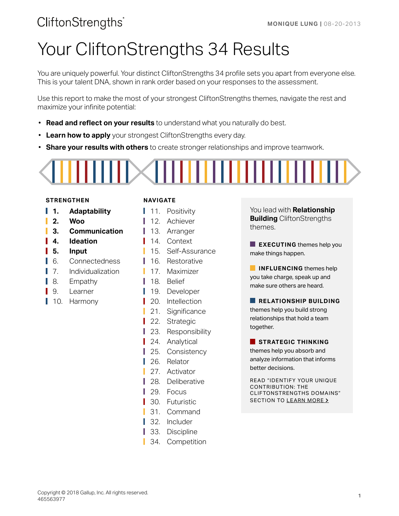# Your CliftonStrengths 34 Results

You are uniquely powerful. Your distinct CliftonStrengths 34 profile sets you apart from everyone else. This is your talent DNA, shown in rank order based on your responses to the assessment.

Use this report to make the most of your strongest CliftonStrengths themes, navigate the rest and maximize your infinite potential:

- **Read and reflect on your results** to understand what you naturally do best.
- **Learn how to apply** your strongest CliftonStrengths every day.
- **Share your results with others** to create stronger relationships and improve teamwork.



### **STRENGTHEN NAVIGATE**

- **1. Adaptability**
- **2. Woo**
- **3. Communication**
- **4. Ideation**
- **5. Input**
- 6. Connectedness
- 7. Individualization
- 8. Empathy
- 9. Learner
- 10. Harmony

L I

ı ı

- 11. Positivity
- 12. Achiever
- 13. Arranger
- 14. Context
- 15. Self-Assurance
- 16. Restorative
- 17. Maximizer
- 18. Belief
- 19. Developer
- 20. Intellection
- 21. Significance
- 22. Strategic
- 23. Responsibility
- 24. Analytical
- 25. Consistency
- 26. Relator
- 27. Activator
- 28. Deliberative
- 29. Focus
- 30. Futuristic
- 31. Command
- 32. Includer
- 33. Discipline
- 34. Competition

You lead with **Relationship Building** CliftonStrengths themes.

**EXECUTING** themes help you make things happen.

**INFLUENCING** themes help you take charge, speak up and make sure others are heard.

### **RELATIONSHIP BUILDING**

themes help you build strong relationships that hold a team together.

### **STRATEGIC THINKING**

themes help you absorb and analyze information that informs better decisions.

READ "IDENTIFY YOUR UNIQUE CONTRIBUTION: THE CLIFTONSTRENGTHS DOMAINS" SECTION TO [LEARN MORE](#page-19-0) >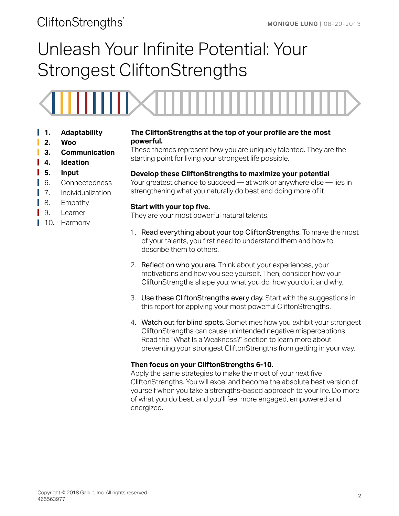# Unleash Your Infinite Potential: Your Strongest CliftonStrengths



- **1. Adaptability**
- **2. Woo**
- **3. Communication**
- **4. Ideation**
- **5. Input**
- 6. Connectedness
- **7.** Individualization
- 8. Empathy
- 9. Learner Ш
- 10. Harmony

### **The CliftonStrengths at the top of your profile are the most powerful.**

These themes represent how you are uniquely talented. They are the starting point for living your strongest life possible.

### **Develop these CliftonStrengths to maximize your potential**

Your greatest chance to succeed — at work or anywhere else — lies in strengthening what you naturally do best and doing more of it.

### **Start with your top five.**

They are your most powerful natural talents.

- 1. Read everything about your top CliftonStrengths. To make the most of your talents, you first need to understand them and how to describe them to others.
- 2. Reflect on who you are. Think about your experiences, your motivations and how you see yourself. Then, consider how your CliftonStrengths shape you: what you do, how you do it and why.
- 3. Use these CliftonStrengths every day. Start with the suggestions in this report for applying your most powerful CliftonStrengths.
- 4. Watch out for blind spots. Sometimes how you exhibit your strongest CliftonStrengths can cause unintended negative misperceptions. Read the "What Is a Weakness?" section to learn more about preventing your strongest CliftonStrengths from getting in your way.

### **Then focus on your CliftonStrengths 6-10.**

Apply the same strategies to make the most of your next five CliftonStrengths. You will excel and become the absolute best version of yourself when you take a strengths-based approach to your life. Do more of what you do best, and you'll feel more engaged, empowered and energized.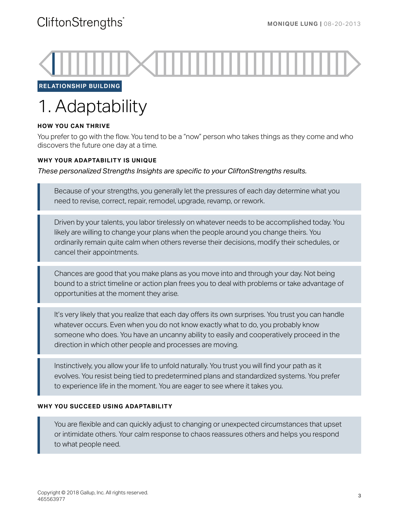

**RELATIONSHIP BUILDING**

# 1. Adaptability

### **HOW YOU CAN THRIVE**

You prefer to go with the flow. You tend to be a "now" person who takes things as they come and who discovers the future one day at a time.

### **WHY YOUR ADAPTABILITY IS UNIQUE**

*These personalized Strengths Insights are specific to your CliftonStrengths results.*

Because of your strengths, you generally let the pressures of each day determine what you need to revise, correct, repair, remodel, upgrade, revamp, or rework.

Driven by your talents, you labor tirelessly on whatever needs to be accomplished today. You likely are willing to change your plans when the people around you change theirs. You ordinarily remain quite calm when others reverse their decisions, modify their schedules, or cancel their appointments.

Chances are good that you make plans as you move into and through your day. Not being bound to a strict timeline or action plan frees you to deal with problems or take advantage of opportunities at the moment they arise.

It's very likely that you realize that each day offers its own surprises. You trust you can handle whatever occurs. Even when you do not know exactly what to do, you probably know someone who does. You have an uncanny ability to easily and cooperatively proceed in the direction in which other people and processes are moving.

Instinctively, you allow your life to unfold naturally. You trust you will find your path as it evolves. You resist being tied to predetermined plans and standardized systems. You prefer to experience life in the moment. You are eager to see where it takes you.

### **WHY YOU SUCCEED USING ADAPTABILITY**

You are flexible and can quickly adjust to changing or unexpected circumstances that upset or intimidate others. Your calm response to chaos reassures others and helps you respond to what people need.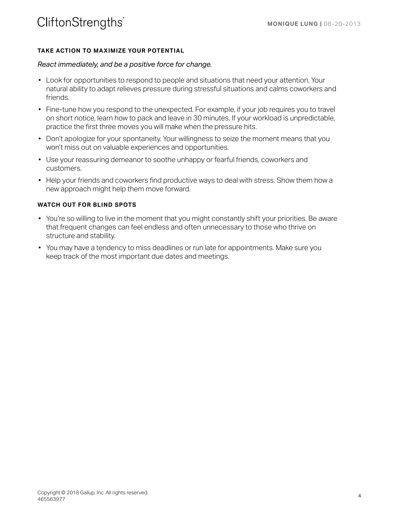### **TAKE ACTION TO MAXIMIZE YOUR POTENTIAL**

### *React immediately, and be a positive force for change.*

- Look for opportunities to respond to people and situations that need your attention. Your natural ability to adapt relieves pressure during stressful situations and calms coworkers and friends.
- Fine-tune how you respond to the unexpected. For example, if your job requires you to travel on short notice, learn how to pack and leave in 30 minutes. If your workload is unpredictable, practice the first three moves you will make when the pressure hits.
- Don't apologize for your spontaneity. Your willingness to seize the moment means that you won't miss out on valuable experiences and opportunities.
- Use your reassuring demeanor to soothe unhappy or fearful friends, coworkers and customers.
- Help your friends and coworkers find productive ways to deal with stress. Show them how a new approach might help them move forward.

- You're so willing to live in the moment that you might constantly shift your priorities. Be aware that frequent changes can feel endless and often unnecessary to those who thrive on structure and stability.
- You may have a tendency to miss deadlines or run late for appointments. Make sure you keep track of the most important due dates and meetings.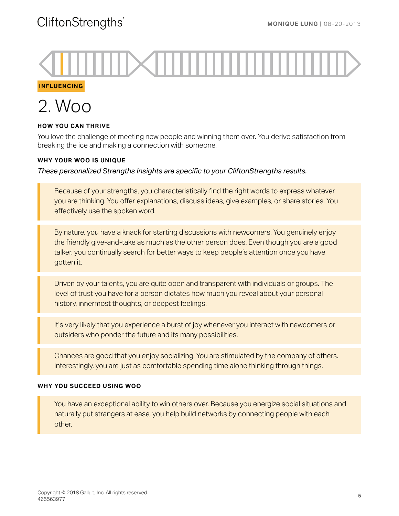**INFLUENCING**



### **HOW YOU CAN THRIVE**

You love the challenge of meeting new people and winning them over. You derive satisfaction from breaking the ice and making a connection with someone.

### **WHY YOUR WOO IS UNIQUE**

*These personalized Strengths Insights are specific to your CliftonStrengths results.*

Because of your strengths, you characteristically find the right words to express whatever you are thinking. You offer explanations, discuss ideas, give examples, or share stories. You effectively use the spoken word.

By nature, you have a knack for starting discussions with newcomers. You genuinely enjoy the friendly give-and-take as much as the other person does. Even though you are a good talker, you continually search for better ways to keep people's attention once you have gotten it.

Driven by your talents, you are quite open and transparent with individuals or groups. The level of trust you have for a person dictates how much you reveal about your personal history, innermost thoughts, or deepest feelings.

It's very likely that you experience a burst of joy whenever you interact with newcomers or outsiders who ponder the future and its many possibilities.

Chances are good that you enjoy socializing. You are stimulated by the company of others. Interestingly, you are just as comfortable spending time alone thinking through things.

### **WHY YOU SUCCEED USING WOO**

You have an exceptional ability to win others over. Because you energize social situations and naturally put strangers at ease, you help build networks by connecting people with each other.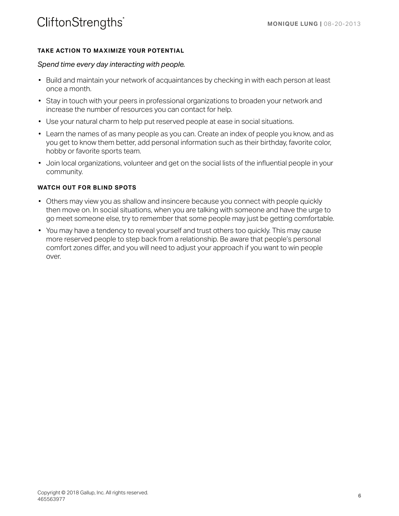### **TAKE ACTION TO MAXIMIZE YOUR POTENTIAL**

### *Spend time every day interacting with people.*

- Build and maintain your network of acquaintances by checking in with each person at least once a month.
- Stay in touch with your peers in professional organizations to broaden your network and increase the number of resources you can contact for help.
- Use your natural charm to help put reserved people at ease in social situations.
- Learn the names of as many people as you can. Create an index of people you know, and as you get to know them better, add personal information such as their birthday, favorite color, hobby or favorite sports team.
- Join local organizations, volunteer and get on the social lists of the influential people in your community.

- Others may view you as shallow and insincere because you connect with people quickly then move on. In social situations, when you are talking with someone and have the urge to go meet someone else, try to remember that some people may just be getting comfortable.
- You may have a tendency to reveal yourself and trust others too quickly. This may cause more reserved people to step back from a relationship. Be aware that people's personal comfort zones differ, and you will need to adjust your approach if you want to win people over.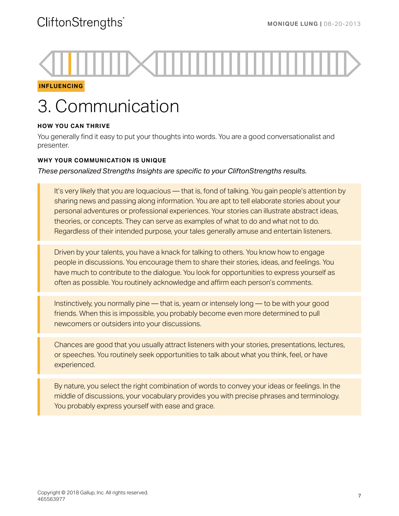### **INFLUENCING**

# 3. Communication

### **HOW YOU CAN THRIVE**

You generally find it easy to put your thoughts into words. You are a good conversationalist and presenter.

### **WHY YOUR COMMUNICATION IS UNIQUE**

*These personalized Strengths Insights are specific to your CliftonStrengths results.*

It's very likely that you are loquacious — that is, fond of talking. You gain people's attention by sharing news and passing along information. You are apt to tell elaborate stories about your personal adventures or professional experiences. Your stories can illustrate abstract ideas, theories, or concepts. They can serve as examples of what to do and what not to do. Regardless of their intended purpose, your tales generally amuse and entertain listeners.

Driven by your talents, you have a knack for talking to others. You know how to engage people in discussions. You encourage them to share their stories, ideas, and feelings. You have much to contribute to the dialogue. You look for opportunities to express yourself as often as possible. You routinely acknowledge and affirm each person's comments.

Instinctively, you normally pine — that is, yearn or intensely long — to be with your good friends. When this is impossible, you probably become even more determined to pull newcomers or outsiders into your discussions.

Chances are good that you usually attract listeners with your stories, presentations, lectures, or speeches. You routinely seek opportunities to talk about what you think, feel, or have experienced.

By nature, you select the right combination of words to convey your ideas or feelings. In the middle of discussions, your vocabulary provides you with precise phrases and terminology. You probably express yourself with ease and grace.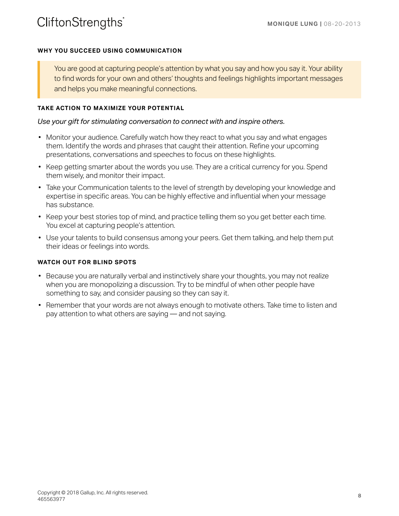### **WHY YOU SUCCEED USING COMMUNICATION**

You are good at capturing people's attention by what you say and how you say it. Your ability to find words for your own and others' thoughts and feelings highlights important messages and helps you make meaningful connections.

### **TAKE ACTION TO MAXIMIZE YOUR POTENTIAL**

### *Use your gift for stimulating conversation to connect with and inspire others.*

- Monitor your audience. Carefully watch how they react to what you say and what engages them. Identify the words and phrases that caught their attention. Refine your upcoming presentations, conversations and speeches to focus on these highlights.
- Keep getting smarter about the words you use. They are a critical currency for you. Spend them wisely, and monitor their impact.
- Take your Communication talents to the level of strength by developing your knowledge and expertise in specific areas. You can be highly effective and influential when your message has substance.
- Keep your best stories top of mind, and practice telling them so you get better each time. You excel at capturing people's attention.
- Use your talents to build consensus among your peers. Get them talking, and help them put their ideas or feelings into words.

- Because you are naturally verbal and instinctively share your thoughts, you may not realize when you are monopolizing a discussion. Try to be mindful of when other people have something to say, and consider pausing so they can say it.
- Remember that your words are not always enough to motivate others. Take time to listen and pay attention to what others are saying — and not saying.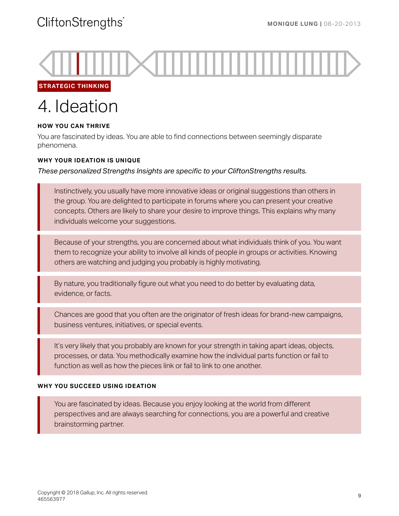

**STRATEGIC THINKING**

# 4. Ideation

### **HOW YOU CAN THRIVE**

You are fascinated by ideas. You are able to find connections between seemingly disparate phenomena.

### **WHY YOUR IDEATION IS UNIQUE**

*These personalized Strengths Insights are specific to your CliftonStrengths results.*

Instinctively, you usually have more innovative ideas or original suggestions than others in the group. You are delighted to participate in forums where you can present your creative concepts. Others are likely to share your desire to improve things. This explains why many individuals welcome your suggestions.

Because of your strengths, you are concerned about what individuals think of you. You want them to recognize your ability to involve all kinds of people in groups or activities. Knowing others are watching and judging you probably is highly motivating.

By nature, you traditionally figure out what you need to do better by evaluating data, evidence, or facts.

Chances are good that you often are the originator of fresh ideas for brand-new campaigns, business ventures, initiatives, or special events.

It's very likely that you probably are known for your strength in taking apart ideas, objects, processes, or data. You methodically examine how the individual parts function or fail to function as well as how the pieces link or fail to link to one another.

### **WHY YOU SUCCEED USING IDEATION**

You are fascinated by ideas. Because you enjoy looking at the world from different perspectives and are always searching for connections, you are a powerful and creative brainstorming partner.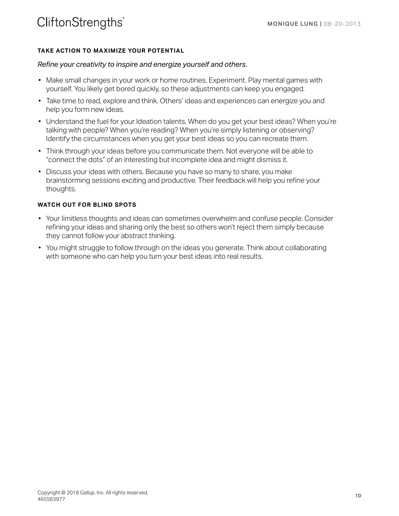### **TAKE ACTION TO MAXIMIZE YOUR POTENTIAL**

### *Refine your creativity to inspire and energize yourself and others.*

- Make small changes in your work or home routines. Experiment. Play mental games with yourself. You likely get bored quickly, so these adjustments can keep you engaged.
- Take time to read, explore and think. Others' ideas and experiences can energize you and help you form new ideas.
- Understand the fuel for your Ideation talents. When do you get your best ideas? When you're talking with people? When you're reading? When you're simply listening or observing? Identify the circumstances when you get your best ideas so you can recreate them.
- Think through your ideas before you communicate them. Not everyone will be able to "connect the dots" of an interesting but incomplete idea and might dismiss it.
- Discuss your ideas with others. Because you have so many to share, you make brainstorming sessions exciting and productive. Their feedback will help you refine your thoughts.

- Your limitless thoughts and ideas can sometimes overwhelm and confuse people. Consider refining your ideas and sharing only the best so others won't reject them simply because they cannot follow your abstract thinking.
- You might struggle to follow through on the ideas you generate. Think about collaborating with someone who can help you turn your best ideas into real results.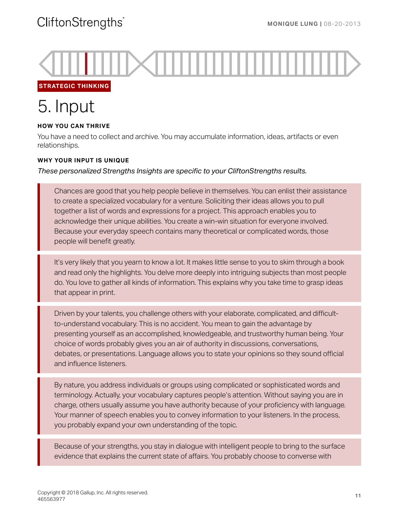

**STRATEGIC THINKING**

# 5. Input

### **HOW YOU CAN THRIVE**

You have a need to collect and archive. You may accumulate information, ideas, artifacts or even relationships.

### **WHY YOUR INPUT IS UNIQUE**

### *These personalized Strengths Insights are specific to your CliftonStrengths results.*

Chances are good that you help people believe in themselves. You can enlist their assistance to create a specialized vocabulary for a venture. Soliciting their ideas allows you to pull together a list of words and expressions for a project. This approach enables you to acknowledge their unique abilities. You create a win-win situation for everyone involved. Because your everyday speech contains many theoretical or complicated words, those people will benefit greatly.

It's very likely that you yearn to know a lot. It makes little sense to you to skim through a book and read only the highlights. You delve more deeply into intriguing subjects than most people do. You love to gather all kinds of information. This explains why you take time to grasp ideas that appear in print.

Driven by your talents, you challenge others with your elaborate, complicated, and difficultto-understand vocabulary. This is no accident. You mean to gain the advantage by presenting yourself as an accomplished, knowledgeable, and trustworthy human being. Your choice of words probably gives you an air of authority in discussions, conversations, debates, or presentations. Language allows you to state your opinions so they sound official and influence listeners.

By nature, you address individuals or groups using complicated or sophisticated words and terminology. Actually, your vocabulary captures people's attention. Without saying you are in charge, others usually assume you have authority because of your proficiency with language. Your manner of speech enables you to convey information to your listeners. In the process, you probably expand your own understanding of the topic.

Because of your strengths, you stay in dialogue with intelligent people to bring to the surface evidence that explains the current state of affairs. You probably choose to converse with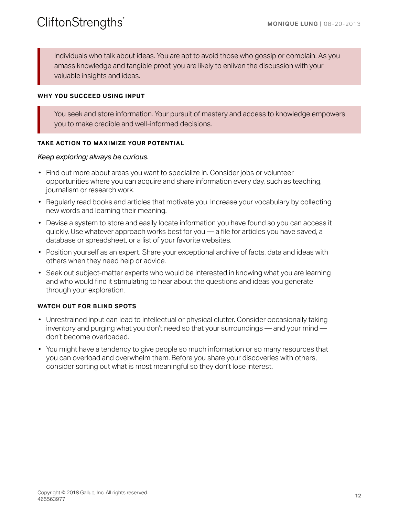individuals who talk about ideas. You are apt to avoid those who gossip or complain. As you amass knowledge and tangible proof, you are likely to enliven the discussion with your valuable insights and ideas.

### **WHY YOU SUCCEED USING INPUT**

You seek and store information. Your pursuit of mastery and access to knowledge empowers you to make credible and well-informed decisions.

### **TAKE ACTION TO MAXIMIZE YOUR POTENTIAL**

### *Keep exploring; always be curious.*

- Find out more about areas you want to specialize in. Consider jobs or volunteer opportunities where you can acquire and share information every day, such as teaching, journalism or research work.
- Regularly read books and articles that motivate you. Increase your vocabulary by collecting new words and learning their meaning.
- Devise a system to store and easily locate information you have found so you can access it quickly. Use whatever approach works best for you — a file for articles you have saved, a database or spreadsheet, or a list of your favorite websites.
- Position yourself as an expert. Share your exceptional archive of facts, data and ideas with others when they need help or advice.
- Seek out subject-matter experts who would be interested in knowing what you are learning and who would find it stimulating to hear about the questions and ideas you generate through your exploration.

- Unrestrained input can lead to intellectual or physical clutter. Consider occasionally taking inventory and purging what you don't need so that your surroundings — and your mind don't become overloaded.
- You might have a tendency to give people so much information or so many resources that you can overload and overwhelm them. Before you share your discoveries with others, consider sorting out what is most meaningful so they don't lose interest.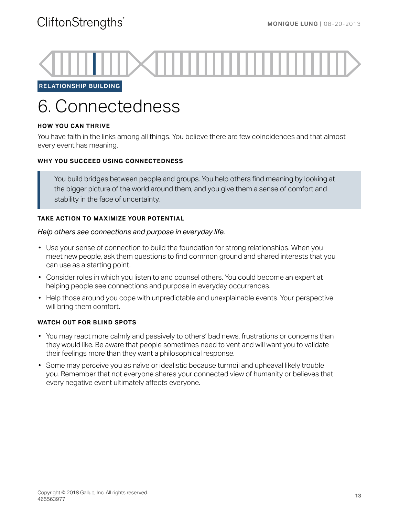

**RELATIONSHIP BUILDING**

# 6. Connectedness

### **HOW YOU CAN THRIVE**

You have faith in the links among all things. You believe there are few coincidences and that almost every event has meaning.

### **WHY YOU SUCCEED USING CONNECTEDNESS**

You build bridges between people and groups. You help others find meaning by looking at the bigger picture of the world around them, and you give them a sense of comfort and stability in the face of uncertainty.

### **TAKE ACTION TO MAXIMIZE YOUR POTENTIAL**

### *Help others see connections and purpose in everyday life.*

- Use your sense of connection to build the foundation for strong relationships. When you meet new people, ask them questions to find common ground and shared interests that you can use as a starting point.
- Consider roles in which you listen to and counsel others. You could become an expert at helping people see connections and purpose in everyday occurrences.
- Help those around you cope with unpredictable and unexplainable events. Your perspective will bring them comfort.

- You may react more calmly and passively to others' bad news, frustrations or concerns than they would like. Be aware that people sometimes need to vent and will want you to validate their feelings more than they want a philosophical response.
- Some may perceive you as naïve or idealistic because turmoil and upheaval likely trouble you. Remember that not everyone shares your connected view of humanity or believes that every negative event ultimately affects everyone.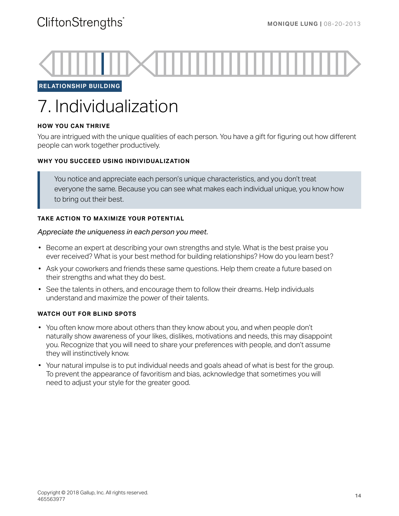

**RELATIONSHIP BUILDING**

# 7. Individualization

### **HOW YOU CAN THRIVE**

You are intrigued with the unique qualities of each person. You have a gift for figuring out how different people can work together productively.

### **WHY YOU SUCCEED USING INDIVIDUALIZATION**

You notice and appreciate each person's unique characteristics, and you don't treat everyone the same. Because you can see what makes each individual unique, you know how to bring out their best.

### **TAKE ACTION TO MAXIMIZE YOUR POTENTIAL**

### *Appreciate the uniqueness in each person you meet.*

- Become an expert at describing your own strengths and style. What is the best praise you ever received? What is your best method for building relationships? How do you learn best?
- Ask your coworkers and friends these same questions. Help them create a future based on their strengths and what they do best.
- See the talents in others, and encourage them to follow their dreams. Help individuals understand and maximize the power of their talents.

- You often know more about others than they know about you, and when people don't naturally show awareness of your likes, dislikes, motivations and needs, this may disappoint you. Recognize that you will need to share your preferences with people, and don't assume they will instinctively know.
- Your natural impulse is to put individual needs and goals ahead of what is best for the group. To prevent the appearance of favoritism and bias, acknowledge that sometimes you will need to adjust your style for the greater good.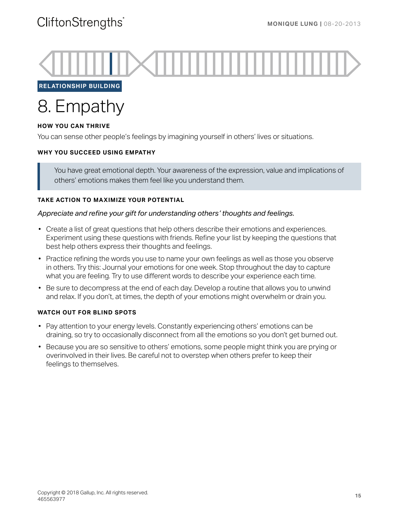

**RELATIONSHIP BUILDING**

### 8. Empathy

### **HOW YOU CAN THRIVE**

You can sense other people's feelings by imagining yourself in others' lives or situations.

### **WHY YOU SUCCEED USING EMPATHY**

You have great emotional depth. Your awareness of the expression, value and implications of others' emotions makes them feel like you understand them.

### **TAKE ACTION TO MAXIMIZE YOUR POTENTIAL**

### *Appreciate and refine your gift for understanding others' thoughts and feelings.*

- Create a list of great questions that help others describe their emotions and experiences. Experiment using these questions with friends. Refine your list by keeping the questions that best help others express their thoughts and feelings.
- Practice refining the words you use to name your own feelings as well as those you observe in others. Try this: Journal your emotions for one week. Stop throughout the day to capture what you are feeling. Try to use different words to describe your experience each time.
- Be sure to decompress at the end of each day. Develop a routine that allows you to unwind and relax. If you don't, at times, the depth of your emotions might overwhelm or drain you.

- Pay attention to your energy levels. Constantly experiencing others' emotions can be draining, so try to occasionally disconnect from all the emotions so you don't get burned out.
- Because you are so sensitive to others' emotions, some people might think you are prying or overinvolved in their lives. Be careful not to overstep when others prefer to keep their feelings to themselves.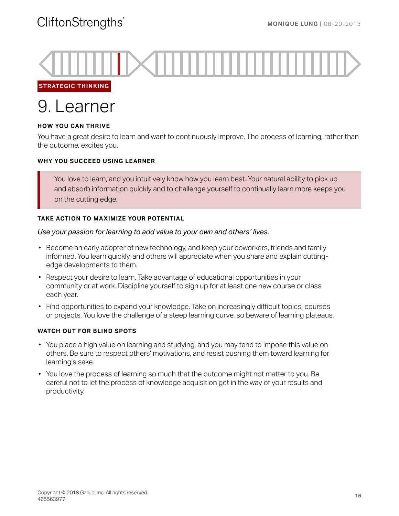

**STRATEGIC THINKING**



### **HOW YOU CAN THRIVE**

You have a great desire to learn and want to continuously improve. The process of learning, rather than the outcome, excites you.

### **WHY YOU SUCCEED USING LEARNER**

You love to learn, and you intuitively know how you learn best. Your natural ability to pick up and absorb information quickly and to challenge yourself to continually learn more keeps you on the cutting edge.

### **TAKE ACTION TO MAXIMIZE YOUR POTENTIAL**

### *Use your passion for learning to add value to your own and others' lives.*

- Become an early adopter of new technology, and keep your coworkers, friends and family informed. You learn quickly, and others will appreciate when you share and explain cuttingedge developments to them.
- Respect your desire to learn. Take advantage of educational opportunities in your community or at work. Discipline yourself to sign up for at least one new course or class each year.
- Find opportunities to expand your knowledge. Take on increasingly difficult topics, courses or projects. You love the challenge of a steep learning curve, so beware of learning plateaus.

- You place a high value on learning and studying, and you may tend to impose this value on others. Be sure to respect others' motivations, and resist pushing them toward learning for learning's sake.
- You love the process of learning so much that the outcome might not matter to you. Be careful not to let the process of knowledge acquisition get in the way of your results and productivity.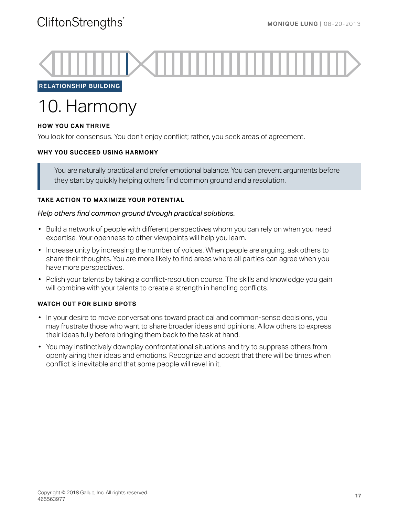

**RELATIONSHIP BUILDING**

# 10. Harmony

### **HOW YOU CAN THRIVE**

You look for consensus. You don't enjoy conflict; rather, you seek areas of agreement.

### **WHY YOU SUCCEED USING HARMONY**

You are naturally practical and prefer emotional balance. You can prevent arguments before they start by quickly helping others find common ground and a resolution.

### **TAKE ACTION TO MAXIMIZE YOUR POTENTIAL**

### *Help others find common ground through practical solutions.*

- Build a network of people with different perspectives whom you can rely on when you need expertise. Your openness to other viewpoints will help you learn.
- Increase unity by increasing the number of voices. When people are arguing, ask others to share their thoughts. You are more likely to find areas where all parties can agree when you have more perspectives.
- Polish your talents by taking a conflict-resolution course. The skills and knowledge you gain will combine with your talents to create a strength in handling conflicts.

- In your desire to move conversations toward practical and common-sense decisions, you may frustrate those who want to share broader ideas and opinions. Allow others to express their ideas fully before bringing them back to the task at hand.
- You may instinctively downplay confrontational situations and try to suppress others from openly airing their ideas and emotions. Recognize and accept that there will be times when conflict is inevitable and that some people will revel in it.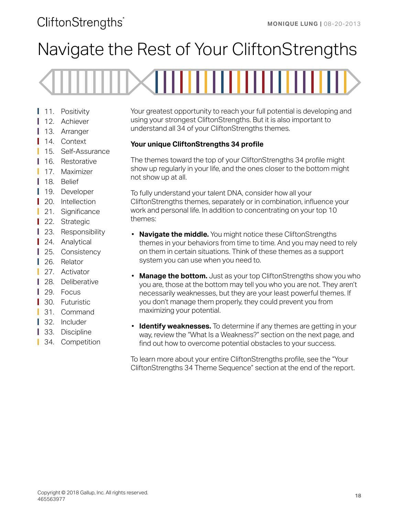# Navigate the Rest of Your CliftonStrengths

- 11. Positivity
- 12. Achiever
- 13. Arranger
- 14. Context
- 15. Self-Assurance
- Т 16. Restorative
- 17. Maximizer
- Ш 18. Belief
- 19. Developer
- 20. Intellection
- 21. Significance
- 22. Strategic
- 23. Responsibility
- 24. Analytical
- 25. Consistency
- 26. Relator
- 27. Activator
- 28. Deliberative
- 29. Focus L
- 30. Futuristic
- 31. Command
- 32. Includer
- 33. Discipline
- 34. Competition Ш

Your greatest opportunity to reach your full potential is developing and using your strongest CliftonStrengths. But it is also important to understand all 34 of your CliftonStrengths themes.

### **Your unique CliftonStrengths 34 profile**

The themes toward the top of your CliftonStrengths 34 profile might show up regularly in your life, and the ones closer to the bottom might not show up at all.

To fully understand your talent DNA, consider how all your CliftonStrengths themes, separately or in combination, influence your work and personal life. In addition to concentrating on your top 10 themes:

- **Navigate the middle.** You might notice these CliftonStrengths themes in your behaviors from time to time. And you may need to rely on them in certain situations. Think of these themes as a support system you can use when you need to.
- **Manage the bottom.** Just as your top CliftonStrengths show you who you are, those at the bottom may tell you who you are not. They aren't necessarily weaknesses, but they are your least powerful themes. If you don't manage them properly, they could prevent you from maximizing your potential.
- **Identify weaknesses.** To determine if any themes are getting in your way, review the "What Is a Weakness?" section on the next page, and find out how to overcome potential obstacles to your success.

To learn more about your entire CliftonStrengths profile, see the "Your CliftonStrengths 34 Theme Sequence" section at the end of the report.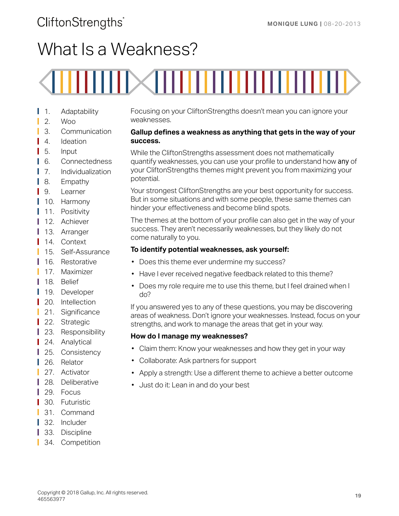# What Is a Weakness?

# ,,,,,

- 1. Adaptability
- 2. Woo
- 3. Communication
- 4. Ideation
- 5. Input
- 6. Connectedness L
- 7. Individualization
- 8. Empathy
- 9. Learner
- 10. Harmony
- 11. Positivity
- 12. Achiever
- 13. Arranger
- 14. Context
- 15. Self-Assurance
- 16. Restorative
- 17. Maximizer
- 18. Belief
- Т 19. Developer
- 20. Intellection
- 21. Significance
- 22. Strategic
- Ш 23. Responsibility
- 24. Analytical
- 25. Consistency
- 26. Relator
- 27. Activator
- 28. Deliberative
- 29. Focus
- 30. Futuristic
- 31. Command
- 32. Includer
- Ш 33. Discipline
- 34. Competition

Focusing on your CliftonStrengths doesn't mean you can ignore your weaknesses.

### **Gallup defines a weakness as anything that gets in the way of your success.**

While the CliftonStrengths assessment does not mathematically quantify weaknesses, you can use your profile to understand how *any* of your CliftonStrengths themes might prevent you from maximizing your potential.

Your strongest CliftonStrengths are your best opportunity for success. But in some situations and with some people, these same themes can hinder your effectiveness and become blind spots.

The themes at the bottom of your profile can also get in the way of your success. They aren't necessarily weaknesses, but they likely do not come naturally to you.

### **To identify potential weaknesses, ask yourself:**

- Does this theme ever undermine my success?
- Have I ever received negative feedback related to this theme?
- Does my role require me to use this theme, but I feel drained when I do?

If you answered yes to any of these questions, you may be discovering areas of weakness. Don't ignore your weaknesses. Instead, focus on your strengths, and work to manage the areas that get in your way.

### **How do I manage my weaknesses?**

- Claim them: Know your weaknesses and how they get in your way
- Collaborate: Ask partners for support
- Apply a strength: Use a different theme to achieve a better outcome
- Just do it: Lean in and do your best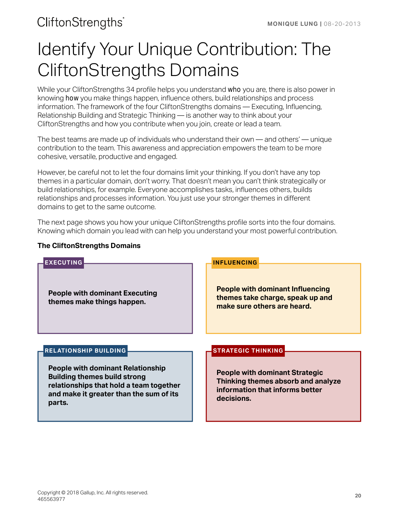# <span id="page-19-0"></span>Identify Your Unique Contribution: The CliftonStrengths Domains

While your CliftonStrengths 34 profile helps you understand *who* you are, there is also power in knowing *how* you make things happen, influence others, build relationships and process information. The framework of the four CliftonStrengths domains — Executing, Influencing, Relationship Building and Strategic Thinking — is another way to think about your CliftonStrengths and how you contribute when you join, create or lead a team.

The best teams are made up of individuals who understand their own — and others' — unique contribution to the team. This awareness and appreciation empowers the team to be more cohesive, versatile, productive and engaged.

However, be careful not to let the four domains limit your thinking. If you don't have any top themes in a particular domain, don't worry. That doesn't mean you can't think strategically or build relationships, for example. Everyone accomplishes tasks, influences others, builds relationships and processes information. You just use your stronger themes in different domains to get to the same outcome.

The next page shows you how your unique CliftonStrengths profile sorts into the four domains. Knowing which domain you lead with can help you understand your most powerful contribution.

### **The CliftonStrengths Domains**

| <b>EXECUTING</b><br><b>People with dominant Executing</b><br>themes make things happen.                                                                                         | <b>INFLUENCING</b><br><b>People with dominant Influencing</b><br>themes take charge, speak up and                            |  |
|---------------------------------------------------------------------------------------------------------------------------------------------------------------------------------|------------------------------------------------------------------------------------------------------------------------------|--|
| <b>RELATIONSHIP BUILDING</b>                                                                                                                                                    | make sure others are heard.<br><b>STRATEGIC THINKING</b>                                                                     |  |
| <b>People with dominant Relationship</b><br><b>Building themes build strong</b><br>relationships that hold a team together<br>and make it greater than the sum of its<br>parts. | <b>People with dominant Strategic</b><br>Thinking themes absorb and analyze<br>information that informs better<br>decisions. |  |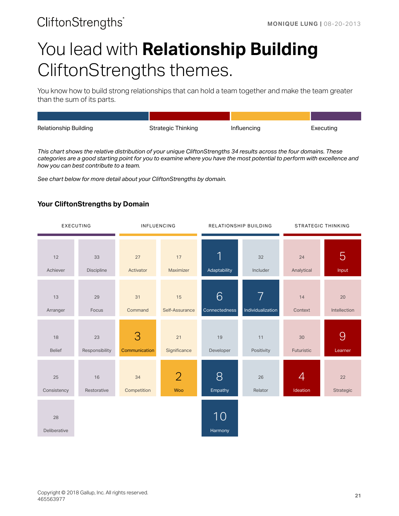# You lead with **Relationship Building** CliftonStrengths themes.

You know how to build strong relationships that can hold a team together and make the team greater than the sum of its parts.

| Relationship Building | Strategic Thinking | Influencing | Executing |
|-----------------------|--------------------|-------------|-----------|

*This chart shows the relative distribution of your unique CliftonStrengths 34 results across the four domains. These categories are a good starting point for you to examine where you have the most potential to perform with excellence and how you can best contribute to a team.*

*See chart below for more detail about your CliftonStrengths by domain.*

### **Your CliftonStrengths by Domain**

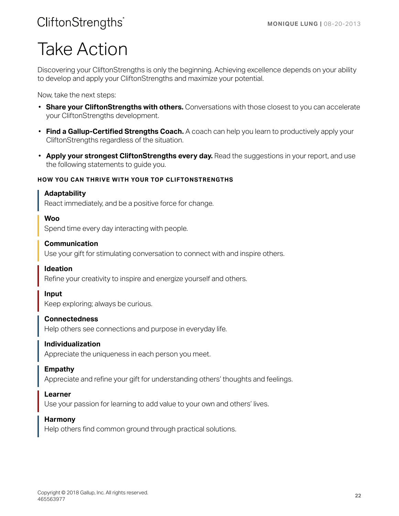# Take Action

Discovering your CliftonStrengths is only the beginning. Achieving excellence depends on your ability to develop and apply your CliftonStrengths and maximize your potential.

Now, take the next steps:

- **Share your CliftonStrengths with others.** Conversations with those closest to you can accelerate your CliftonStrengths development.
- **Find a Gallup-Certified Strengths Coach.** A coach can help you learn to productively apply your CliftonStrengths regardless of the situation.
- **Apply your strongest CliftonStrengths every day.** Read the suggestions in your report, and use the following statements to guide you.

### **HOW YOU CAN THRIVE WITH YOUR TOP CLIFTONSTRENGTHS**

### **Adaptability**

React immediately, and be a positive force for change.

### **Woo**

Spend time every day interacting with people.

### **Communication**

Use your gift for stimulating conversation to connect with and inspire others.

### **Ideation**

Refine your creativity to inspire and energize yourself and others.

### **Input**

Keep exploring; always be curious.

### **Connectedness**

Help others see connections and purpose in everyday life.

### **Individualization**

Appreciate the uniqueness in each person you meet.

### **Empathy**

Appreciate and refine your gift for understanding others' thoughts and feelings.

### **Learner**

Use your passion for learning to add value to your own and others' lives.

### **Harmony**

Help others find common ground through practical solutions.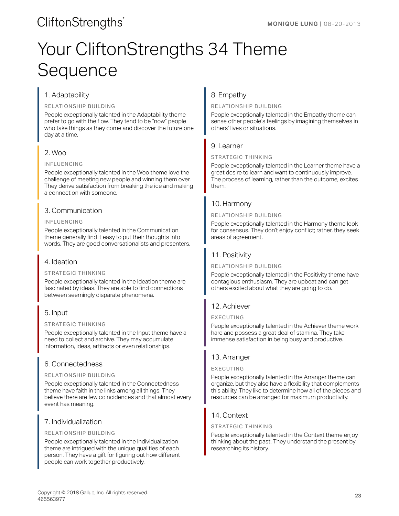# Your CliftonStrengths 34 Theme Sequence

### 1. Adaptability

RELATIONSHIP BUILDING

People exceptionally talented in the Adaptability theme prefer to go with the flow. They tend to be "now" people who take things as they come and discover the future one day at a time.

### 2. Woo

### INFLUENCING

People exceptionally talented in the Woo theme love the challenge of meeting new people and winning them over. They derive satisfaction from breaking the ice and making a connection with someone.

### 3. Communication

### INFLUENCING

People exceptionally talented in the Communication theme generally find it easy to put their thoughts into words. They are good conversationalists and presenters.

### 4. Ideation

### STRATEGIC THINKING

People exceptionally talented in the Ideation theme are fascinated by ideas. They are able to find connections between seemingly disparate phenomena.

### 5. Input

### STRATEGIC THINKING

People exceptionally talented in the Input theme have a need to collect and archive. They may accumulate information, ideas, artifacts or even relationships.

### 6. Connectedness

### RELATIONSHIP BUILDING

People exceptionally talented in the Connectedness theme have faith in the links among all things. They believe there are few coincidences and that almost every event has meaning.

### 7. Individualization

### RELATIONSHIP BUILDING

People exceptionally talented in the Individualization theme are intrigued with the unique qualities of each person. They have a gift for figuring out how different people can work together productively.

### 8. Empathy

### RELATIONSHIP BUILDING

People exceptionally talented in the Empathy theme can sense other people's feelings by imagining themselves in others' lives or situations.

### 9. Learner

### STRATEGIC THINKING

People exceptionally talented in the Learner theme have a great desire to learn and want to continuously improve. The process of learning, rather than the outcome, excites them.

### 10. Harmony

### RELATIONSHIP BUILDING

People exceptionally talented in the Harmony theme look for consensus. They don't enjoy conflict; rather, they seek areas of agreement.

### 11. Positivity

### RELATIONSHIP BUILDING

People exceptionally talented in the Positivity theme have contagious enthusiasm. They are upbeat and can get others excited about what they are going to do.

### 12. Achiever

### EXECUTING

People exceptionally talented in the Achiever theme work hard and possess a great deal of stamina. They take immense satisfaction in being busy and productive.

### 13. Arranger

### EXECUTING

People exceptionally talented in the Arranger theme can organize, but they also have a flexibility that complements this ability. They like to determine how all of the pieces and resources can be arranged for maximum productivity.

### 14. Context

### STRATEGIC THINKING

People exceptionally talented in the Context theme enjoy thinking about the past. They understand the present by researching its history.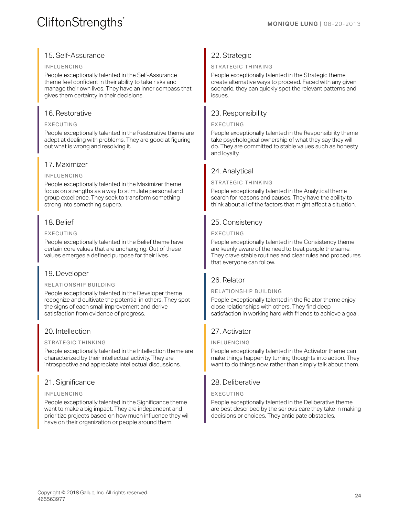### **CliftonStrengths**

### 15. Self-Assurance

#### INFLUENCING

People exceptionally talented in the Self-Assurance theme feel confident in their ability to take risks and manage their own lives. They have an inner compass that gives them certainty in their decisions.

### 16. Restorative

### EXECUTING

People exceptionally talented in the Restorative theme are adept at dealing with problems. They are good at figuring out what is wrong and resolving it.

### 17. Maximizer

### INFLUENCING

People exceptionally talented in the Maximizer theme focus on strengths as a way to stimulate personal and group excellence. They seek to transform something strong into something superb.

### 18. Belief

### EXECUTING

People exceptionally talented in the Belief theme have certain core values that are unchanging. Out of these values emerges a defined purpose for their lives.

### 19. Developer

### RELATIONSHIP BUILDING

People exceptionally talented in the Developer theme recognize and cultivate the potential in others. They spot the signs of each small improvement and derive satisfaction from evidence of progress.

### 20. Intellection

### STRATEGIC THINKING

People exceptionally talented in the Intellection theme are characterized by their intellectual activity. They are introspective and appreciate intellectual discussions.

### 21. Significance

### INFLUENCING

People exceptionally talented in the Significance theme want to make a big impact. They are independent and prioritize projects based on how much influence they will have on their organization or people around them.

### 22. Strategic

### STRATEGIC THINKING

People exceptionally talented in the Strategic theme create alternative ways to proceed. Faced with any given scenario, they can quickly spot the relevant patterns and issues.

### 23. Responsibility

### EXECUTING

People exceptionally talented in the Responsibility theme take psychological ownership of what they say they will do. They are committed to stable values such as honesty and loyalty.

### 24. Analytical

### STRATEGIC THINKING

People exceptionally talented in the Analytical theme search for reasons and causes. They have the ability to think about all of the factors that might affect a situation.

### 25. Consistency

### EXECUTING

People exceptionally talented in the Consistency theme are keenly aware of the need to treat people the same. They crave stable routines and clear rules and procedures that everyone can follow.

### 26. Relator

### RELATIONSHIP BUILDING

People exceptionally talented in the Relator theme enjoy close relationships with others. They find deep satisfaction in working hard with friends to achieve a goal.

### 27. Activator

### INFLUENCING

People exceptionally talented in the Activator theme can make things happen by turning thoughts into action. They want to do things now, rather than simply talk about them.

### 28. Deliberative

### EXECUTING

People exceptionally talented in the Deliberative theme are best described by the serious care they take in making decisions or choices. They anticipate obstacles.